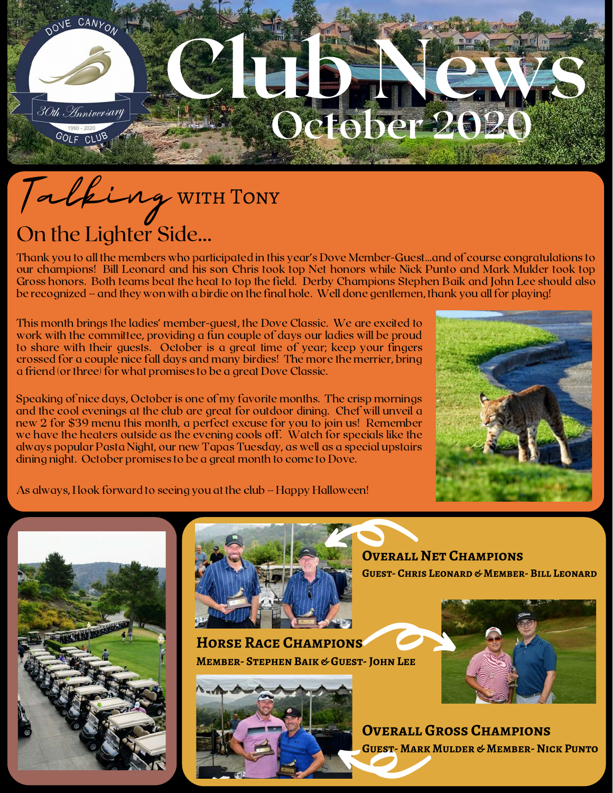## OUE CANYON CLUB NEWS 30th *A*nniversary October 2020 GOLF CLUF

## On the Lighter Side... Talking with Tony

Thank you to all the members who participated in this year's Dove Member-Guest…and of course congratulations to our champions! Bill Leonard and his son Chris took top Net honors while Nick Punto and Mark Mulder took top Gross honors. Both teams beat the heat to top the field. Derby Champions Stephen Baik and John Lee should also be recognized – and they won with a birdie on the final hole. Well done gentlemen, thank you all for playing!

This month brings the ladies' member-guest, the Dove Classic. We are excited to work with the committee, providing a fun couple of days our ladies will be proud to share with their guests. October is a great time of year; keep your fingers crossed for a couple nice fall days and many birdies! The more the merrier, bring a friend (or three) for what promises to be a great Dove Classic.

Speaking of nice days, October is one of my favorite months. The crisp mornings and the cool evenings at the club are great for outdoor dining. Chef will unveil a new 2 for \$39 menu this month, a perfect excuse for you to join us! Remember we have the heaters outside as the evening cools off. Watch for specials like the always popular Pasta Night, our new Tapas Tuesday, as well as a special upstairs dining night. October promises to be a great month to come to Dove.



As always, I look forward to seeing you at the club – Happy Halloween!





**Horse Race Champions Member- Stephen Baik & Guest- John Lee**



**Overall Net Champions Guest- Chris Leonard & Member- Bill Leonard**



**OVERALL GROSS CHAMPIONS Guest- Mark Mulder & Member- Nick Punto**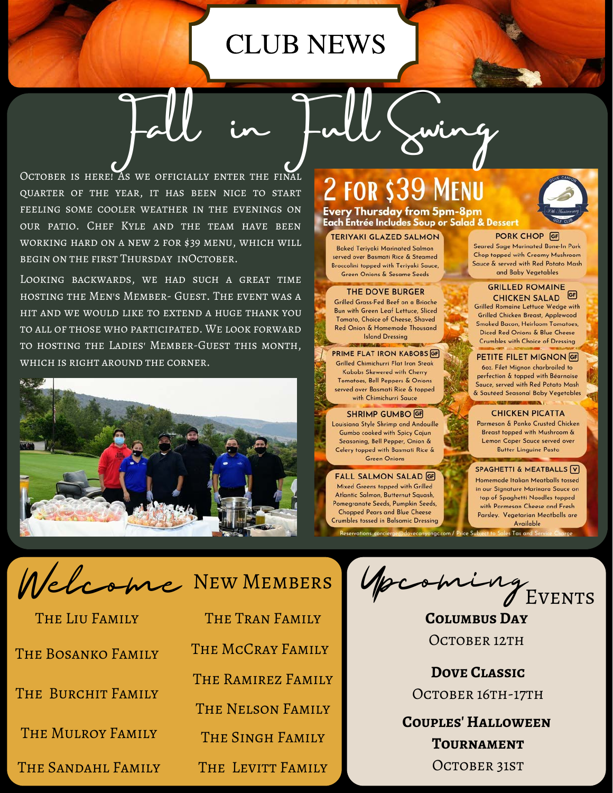## CLUB NEWS

Fall in Full Swing

OCTOBER IS HERE! AS WE OFFICIALLY ENTER THE FINAL quarter of the year, it has been nice to start feeling some cooler weather in the evenings on our patio. Chef Kyle and the team have been working hard on a new 2 for \$39 menu, which will begin on the first Thursday inOctober.

Looking backwards, we had such a great time hosting the Men's Member- Guest. The event was a hit and we would like to extend a huge thank you to all of those who participated. We look forward to hosting the Ladies' Member-Guest this month, which is right around the corner.



## 2 FOR \$39 **Every Thursday from 5pm-8pm**

Each Entrée Includes Soup or Salad & Dessert

#### **TERIYAKI GLAZED SALMON**

**Baked Teriyaki Marinated Salmon** served over Basmati Rice & Steamed Broccolini topped with Teriyaki Sauce, Green Onions & Sesame Seeds

#### **THE DOVE BURGER**

Grilled Grass-Fed Beef on a Brioche Bun with Green Leaf Lettuce, Sliced Tomato, Choice of Cheese, Shaved Red Onion & Homemade Thousand **Island Dressing** 

#### PRIME FLAT IRON KABOBS GF

Grilled Chimichurri Flat Iron Steak Kabobs Skewered with Cherry Tomatoes, Bell Peppers & Onions served over Basmati Rice & topped with Chimichurri Sauce

#### **SHRIMP GUMBO GF**

Louisiana Style Shrimp and Andouille Gumbo cooked with Spicy Cajun Seasoning, Bell Pepper, Onion & Celery topped with Basmati Rice & **Green Onions** 

**FALL SALMON SALAD GF** Mixed Greens topped with Grilled Atlantic Salmon, Butternut Squash, Pomegranate Seeds, Pumpkin Seeds, **Chopped Pears and Blue Cheese Crumbles tossed in Balsamic Dressing** Reservations: concierge@dovecanyongc.com / Price Sub **PORK CHOP GF** 

Seared Sage Marinated Bone-In Pork Chop topped with Creamy Mushroom Sauce & served with Red Potato Mash and Baby Vegetables

#### **GRILLED ROMAINE** CHICKEN SALAD<sup>GE</sup>

**Grilled Romaine Lettuce Wedge with** Grilled Chicken Breast, Applewood **Smoked Bacon, Heirloom Tomatoes,** Diced Red Onions & Blue Cheese **Crumbles with Choice of Dressing** 

#### PETITE FILET MIGNON GF

60z. Filet Mignon charbroiled to perfection & topped with Béarnaise Sauce, served with Red Potato Mash & Sautéed Seasonal Baby Vegetables **GET HORSE & BEEN** 

#### **CHICKEN PICATTA**

Parmesan & Panko Crusted Chicken Breast topped with Mushroom & **Lemon Caper Sauce served over Butter Linguine Pasta** 

#### SPAGHETTI & MEATBALLS V

Homemade Italian Meatballs tossed in our Signature Marinara Sauce on top of Spaghetti Noodles topped with Parmesan Cheese and Fresh Parsley. Vegetarian Meatballs are Available s Tax and :

Welcome New Members

| THE LIU FAMILY     |
|--------------------|
| THE BOSANKO FAMILY |
| THE BURCHIT FAMILY |
| THE MULROY FAMILY  |
| THE SANDAHL FAMILY |

The Tran Family The McCray Family The Ramirez Family The Nelson Family The Singh Family THE LEVITT FAMILY

Upcoming Events

**Columbus Day** OCTOBER 12TH

**Dove Classic** OCTOBER 16TH-17TH

**Couples' Halloween Tournament** OCTOBER 31ST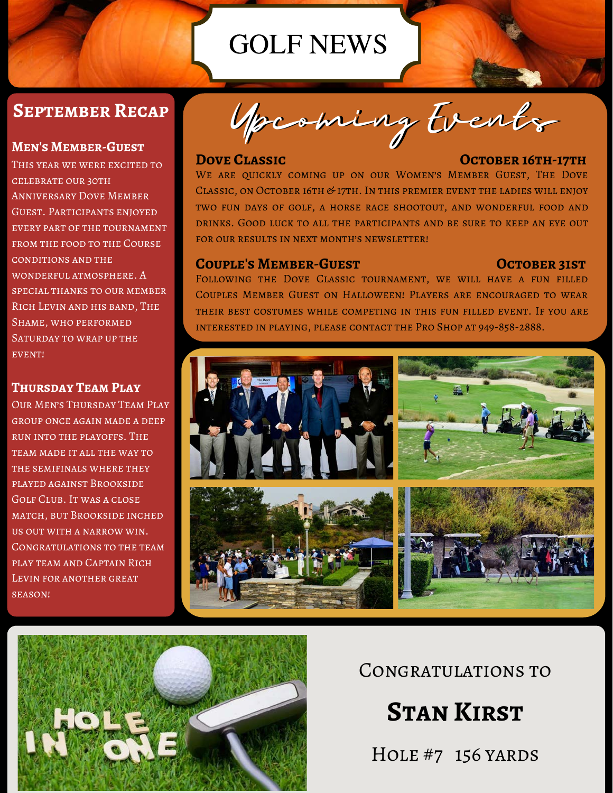## GOLF NEWS

### **September Recap**

#### **Men's Member-Guest**

THIS YEAR WE WERE EXCITED TO celebrate our 30th Anniversary Dove Member Guest. Participants enjoyed every part of the tournament from the food to the Course conditions and the wonderful atmosphere. A special thanks to our member Rich Levin and his band, The Shame, who performed SATURDAY TO WRAP UP THE event!

#### **Thursday Team Play**

Our Men's Thursday Team Play group once again made a deep run into the playoffs. The TEAM MADE IT ALL THE WAY TO the semifinals where they played against Brookside Golf Club. It was a close match, but Brookside inched us out with a narrow win. Congratulations to the team play team and Captain Rich Levin for another great season!

Upcoming Events

#### **DOVE CLASSIC CONVERTS OCTOBER 16TH-17TH**

WE ARE QUICKLY COMING UP ON OUR WOMEN'S MEMBER GUEST, THE DOVE Classic, on October 16th & 17th. In this premier event the ladies will enjoy two fun days of golf, a horse race shootout, and wonderful food and drinks. Good luck to all the participants and be sure to keep an eye out FOR OUR RESULTS IN NEXT MONTH'S NEWSLETTER!

#### **COUPLE'S MEMBER-GUEST COUPLE'S MEMBER-GUEST**

Following the Dove Classic tournament, we will have a fun filled Couples Member Guest on Halloween! Players are encouraged to wear their best costumes while competing in this fun filled event. If you are interested in playing, please contact the Pro Shop at 949-858-2888.





Congratulations to

**Stan Kirst**

Hole #7 156 yards